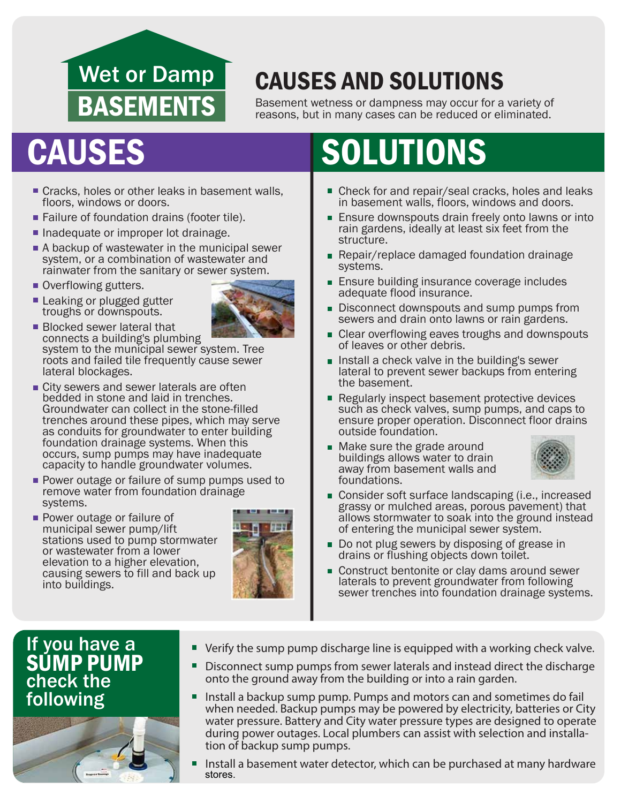## Wet or Damp BASEMENTS

## CAUSES AND SOLUTIONS

Basement wetness or dampness may occur for a variety of reasons, but in many cases can be reduced or eliminated.

- Cracks, holes or other leaks in basement walls, floors, windows or doors.
- Failure of foundation drains (footer tile).
- Inadequate or improper lot drainage.
- A backup of wastewater in the municipal sewer system, or a combination of wastewater and rainwater from the sanitary or sewer system.
- Overflowing gutters.
- **Leaking or plugged gutter** troughs or downspouts.



**Blocked sewer lateral that** connects a building's plumbing system to the municipal sewer system. Tree roots and failed tile frequently cause sewer lateral blockages.

- **City sewers and sewer laterals are often** bedded in stone and laid in trenches. Groundwater can collect in the stone-filled trenches around these pipes, which may serve as conduits for groundwater to enter building foundation drainage systems. When this occurs, sump pumps may have inadequate capacity to handle groundwater volumes.
- **Power outage or failure of sump pumps used to** remove water from foundation drainage systems.
- **Power outage or failure of** municipal sewer pump/lift stations used to pump stormwater or wastewater from a lower elevation to a higher elevation, causing sewers to fill and back up into buildings.



# CAUSES SOLUTIONS

- Check for and repair/seal cracks, holes and leaks in basement walls, floors, windows and doors.
- **Ensure downspouts drain freely onto lawns or into** rain gardens, ideally at least six feet from the structure.
- **Repair/replace damaged foundation drainage** systems.
- **Ensure building insurance coverage includes** adequate flood insurance.
- Disconnect downspouts and sump pumps from sewers and drain onto lawns or rain gardens.
- **Clear overflowing eaves troughs and downspouts** of leaves or other debris.
- **Install a check valve in the building's sewer** lateral to prevent sewer backups from entering the basement.
- Regularly inspect basement protective devices such as check valves, sump pumps, and caps to ensure proper operation. Disconnect floor drains outside foundation.
- Make sure the grade around buildings allows water to drain away from basement walls and foundations.



- Consider soft surface landscaping (i.e., increased grassy or mulched areas, porous pavement) that allows stormwater to soak into the ground instead of entering the municipal sewer system.
- Do not plug sewers by disposing of grease in ш drains or flushing objects down toilet.
- Construct bentonite or clay dams around sewer laterals to prevent groundwater from following sewer trenches into foundation drainage systems.

### If you have a check the SUMP PUMP following



- Verify the sump pump discharge line is equipped with a working check valve.
- Disconnect sump pumps from sewer laterals and instead direct the discharge П onto the ground away from the building or into a rain garden.
- $\blacksquare$ Install a backup sump pump. Pumps and motors can and sometimes do fail when needed. Backup pumps may be powered by electricity, batteries or City water pressure. Battery and City water pressure types are designed to operate during power outages. Local plumbers can assist with selection and installa- tion of backup sump pumps.
- Install a basement water detector, which can be purchased at many hardware stores.